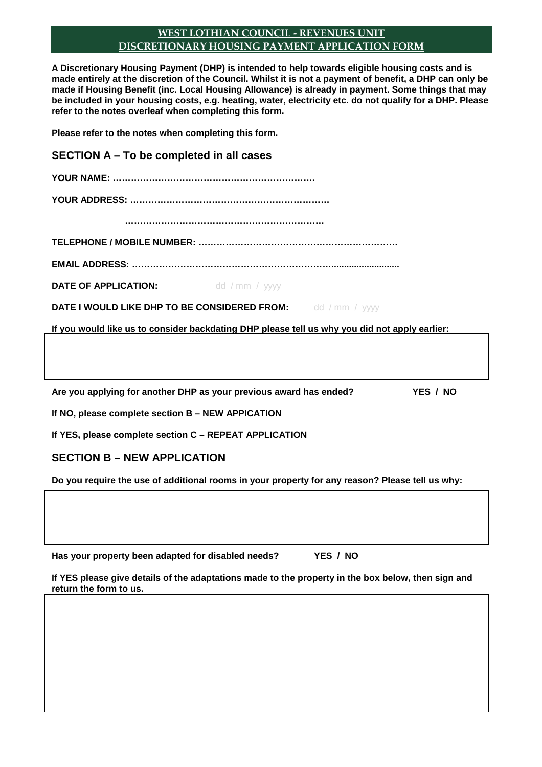## **WEST LOTHIAN COUNCIL - REVENUES UNIT DISCRETIONARY HOUSING PAYMENT APPLICATION FORM**

**A Discretionary Housing Payment (DHP) is intended to help towards eligible housing costs and is made entirely at the discretion of the Council. Whilst it is not a payment of benefit, a DHP can only be made if Housing Benefit (inc. Local Housing Allowance) is already in payment. Some things that may be included in your housing costs, e.g. heating, water, electricity etc. do not qualify for a DHP. Please refer to the notes overleaf when completing this form.** 

**Please refer to the notes when completing this form.** 

**SECTION A – To be completed in all cases YOUR NAME: …………………………………………………………. YOUR ADDRESS: ………………………………………………………… ………………………………………………………… TELEPHONE / MOBILE NUMBER: ………………………………………………………… EMAIL ADDRESS: …………………………………………………………........................... DATE OF APPLICATION:** dd / mm / yyyy **DATE I WOULD LIKE DHP TO BE CONSIDERED FROM:** dd / mm / yyyy **If you would like us to consider backdating DHP please tell us why you did not apply earlier:**  Are you applying for another DHP as your previous award has ended? YES / NO

**If NO, please complete section B – NEW APPICATION** 

**If YES, please complete section C – REPEAT APPLICATION** 

# **SECTION B – NEW APPLICATION**

**Do you require the use of additional rooms in your property for any reason? Please tell us why:** 

**Has your property been adapted for disabled needs? YES / NO** 

**If YES please give details of the adaptations made to the property in the box below, then sign and return the form to us.**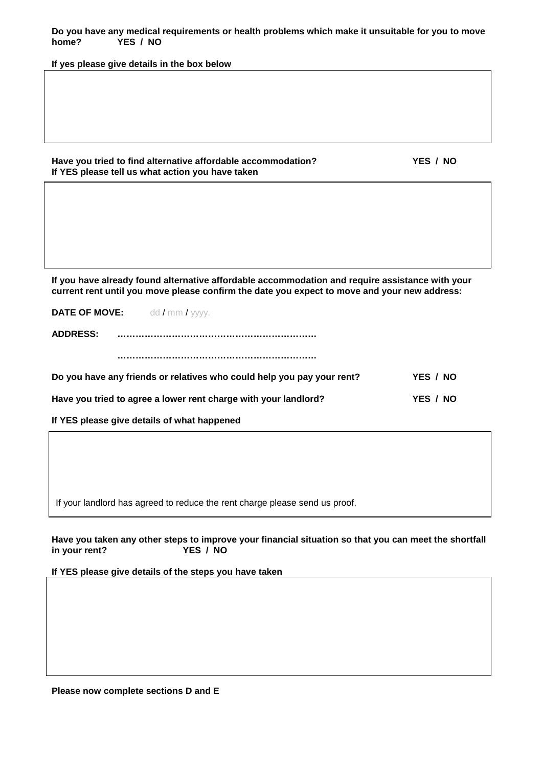**If yes please give details in the box below** 

### **Have you tried to find alternative affordable accommodation? YES / NO If YES please tell us what action you have taken**

**If you have already found alternative affordable accommodation and require assistance with your current rent until you move please confirm the date you expect to move and your new address:** 

**DATE OF MOVE:** dd / mm / yyyy.

**ADDRESS: …………………………………………………………** 

 **…………………………………………………………** 

| Do you have any friends or relatives who could help you pay your rent? | YES / NO |
|------------------------------------------------------------------------|----------|
| Have you tried to agree a lower rent charge with your landlord?        | YES / NO |

**If YES please give details of what happened** 

If your landlord has agreed to reduce the rent charge please send us proof.

**Have you taken any other steps to improve your financial situation so that you can meet the shortfall in your rent? YES / NO** 

**If YES please give details of the steps you have taken** 

**Please now complete sections D and E**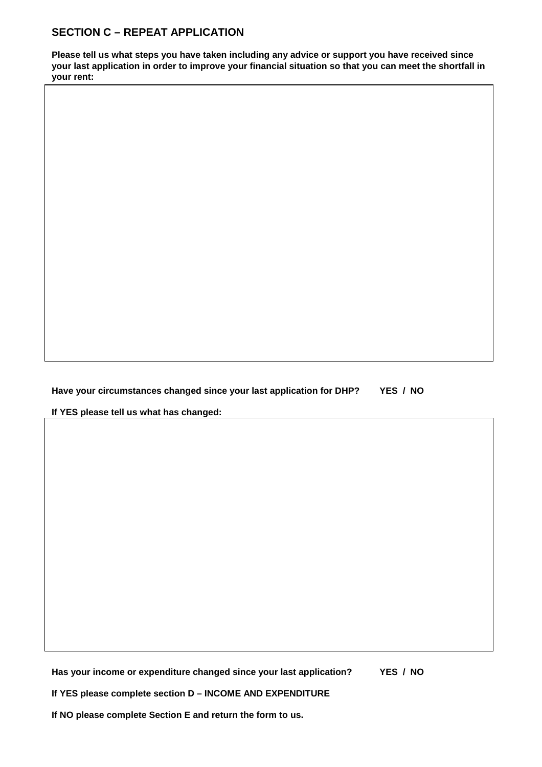# **SECTION C – REPEAT APPLICATION**

**Please tell us what steps you have taken including any advice or support you have received since your last application in order to improve your financial situation so that you can meet the shortfall in your rent:** 

**Have your circumstances changed since your last application for DHP? YES / NO** 

**If YES please tell us what has changed:** 

**Has your income or expenditure changed since your last application? YES / NO** 

**If YES please complete section D – INCOME AND EXPENDITURE** 

**If NO please complete Section E and return the form to us.**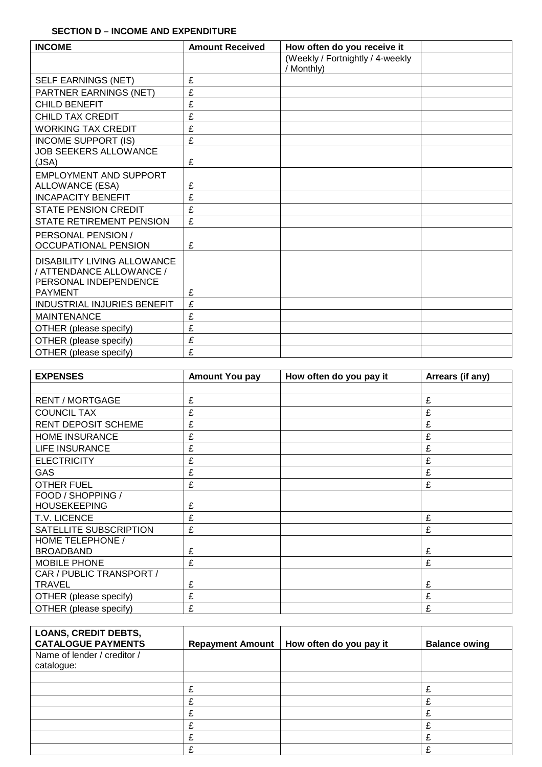### **SECTION D – INCOME AND EXPENDITURE**

| <b>INCOME</b>                                                                                             | <b>Amount Received</b> | How often do you receive it                    |  |
|-----------------------------------------------------------------------------------------------------------|------------------------|------------------------------------------------|--|
|                                                                                                           |                        | (Weekly / Fortnightly / 4-weekly<br>/ Monthly) |  |
| SELF EARNINGS (NET)                                                                                       | £                      |                                                |  |
| PARTNER EARNINGS (NET)                                                                                    | £                      |                                                |  |
| <b>CHILD BENEFIT</b>                                                                                      | £                      |                                                |  |
| <b>CHILD TAX CREDIT</b>                                                                                   | £                      |                                                |  |
| <b>WORKING TAX CREDIT</b>                                                                                 | £                      |                                                |  |
| <b>INCOME SUPPORT (IS)</b>                                                                                | £                      |                                                |  |
| <b>JOB SEEKERS ALLOWANCE</b><br>(JSA)                                                                     | £                      |                                                |  |
| <b>EMPLOYMENT AND SUPPORT</b>                                                                             |                        |                                                |  |
| ALLOWANCE (ESA)                                                                                           | £                      |                                                |  |
| <b>INCAPACITY BENEFIT</b>                                                                                 | £                      |                                                |  |
| <b>STATE PENSION CREDIT</b>                                                                               | £                      |                                                |  |
| STATE RETIREMENT PENSION                                                                                  | £                      |                                                |  |
| PERSONAL PENSION /<br><b>OCCUPATIONAL PENSION</b>                                                         | £                      |                                                |  |
| <b>DISABILITY LIVING ALLOWANCE</b><br>/ ATTENDANCE ALLOWANCE /<br>PERSONAL INDEPENDENCE<br><b>PAYMENT</b> | £                      |                                                |  |
| <b>INDUSTRIAL INJURIES BENEFIT</b>                                                                        | £                      |                                                |  |
| <b>MAINTENANCE</b>                                                                                        | £                      |                                                |  |
|                                                                                                           | £                      |                                                |  |
| OTHER (please specify)                                                                                    | £                      |                                                |  |
| OTHER (please specify)                                                                                    |                        |                                                |  |
| OTHER (please specify)                                                                                    | £                      |                                                |  |

| <b>EXPENSES</b>                          | <b>Amount You pay</b> | How often do you pay it | Arrears (if any) |
|------------------------------------------|-----------------------|-------------------------|------------------|
|                                          |                       |                         |                  |
| <b>RENT / MORTGAGE</b>                   | £                     |                         | £                |
| <b>COUNCIL TAX</b>                       | £                     |                         | £                |
| <b>RENT DEPOSIT SCHEME</b>               | £                     |                         | £                |
| <b>HOME INSURANCE</b>                    | £                     |                         | £                |
| <b>LIFE INSURANCE</b>                    | £                     |                         | £                |
| <b>ELECTRICITY</b>                       | £                     |                         | £                |
| <b>GAS</b>                               | £                     |                         | £                |
| <b>OTHER FUEL</b>                        | £                     |                         | £                |
| FOOD / SHOPPING /<br><b>HOUSEKEEPING</b> | £                     |                         |                  |
| T.V. LICENCE                             | £                     |                         | £                |
| SATELLITE SUBSCRIPTION                   | £                     |                         | £                |
| HOME TELEPHONE /<br><b>BROADBAND</b>     | £                     |                         | £                |
| <b>MOBILE PHONE</b>                      | £                     |                         | £                |
| CAR / PUBLIC TRANSPORT /                 |                       |                         |                  |
| <b>TRAVEL</b>                            | £                     |                         | £                |
| OTHER (please specify)                   | £                     |                         | £                |
| OTHER (please specify)                   | £                     |                         | £                |

| <b>LOANS, CREDIT DEBTS,</b><br><b>CATALOGUE PAYMENTS</b> | <b>Repayment Amount</b> | How often do you pay it | <b>Balance owing</b> |
|----------------------------------------------------------|-------------------------|-------------------------|----------------------|
| Name of lender / creditor /<br>catalogue:                |                         |                         |                      |
|                                                          |                         |                         |                      |
|                                                          | £                       |                         |                      |
|                                                          |                         |                         |                      |
|                                                          | ◠                       |                         |                      |
|                                                          |                         |                         |                      |
|                                                          |                         |                         |                      |
|                                                          |                         |                         |                      |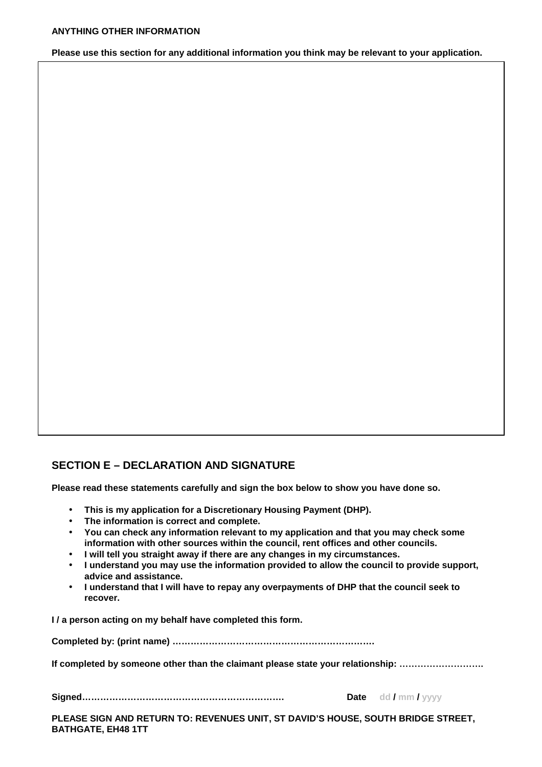#### **Please use this section for any additional information you think may be relevant to your application.**

# **SECTION E – DECLARATION AND SIGNATURE**

**Please read these statements carefully and sign the box below to show you have done so.** 

- **This is my application for a Discretionary Housing Payment (DHP).**
- **The information is correct and complete.**
- **You can check any information relevant to my application and that you may check some information with other sources within the council, rent offices and other councils.**
- **I will tell you straight away if there are any changes in my circumstances.**
- **I understand you may use the information provided to allow the council to provide support, advice and assistance.**
- **I understand that I will have to repay any overpayments of DHP that the council seek to recover.**

**I / a person acting on my behalf have completed this form.** 

**Completed by: (print name) ………………………………………………………….** 

**If completed by someone other than the claimant please state your relationship: ……………………….** 

**Signed…………………………………………………………. Date dd / mm / yyyy** 

**PLEASE SIGN AND RETURN TO: REVENUES UNIT, ST DAVID'S HOUSE, SOUTH BRIDGE STREET, BATHGATE, EH48 1TT**